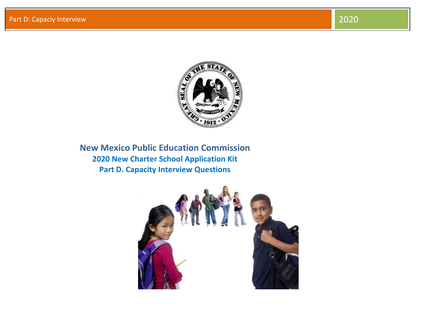

**New Mexico Public Education Commission 2020 New Charter School Application Kit Part D. Capacity Interview Questions**

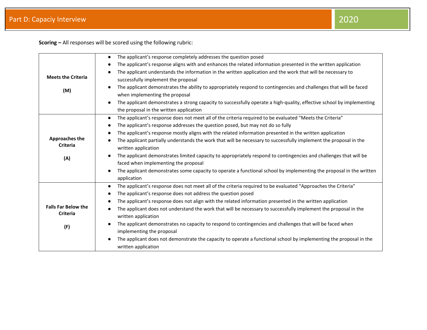**Scoring –** All responses will be scored using the following rubric:

|                            | The applicant's response completely addresses the question posed<br>$\bullet$                                                      |
|----------------------------|------------------------------------------------------------------------------------------------------------------------------------|
|                            | The applicant's response aligns with and enhances the related information presented in the written application<br>$\bullet$        |
|                            | The applicant understands the information in the written application and the work that will be necessary to                        |
| <b>Meets the Criteria</b>  | successfully implement the proposal                                                                                                |
| (M)                        | The applicant demonstrates the ability to appropriately respond to contingencies and challenges that will be faced                 |
|                            | when implementing the proposal                                                                                                     |
|                            | The applicant demonstrates a strong capacity to successfully operate a high-quality, effective school by implementing<br>$\bullet$ |
|                            | the proposal in the written application                                                                                            |
|                            | The applicant's response does not meet all of the criteria required to be evaluated "Meets the Criteria"<br>$\bullet$              |
|                            | The applicant's response addresses the question posed, but may not do so fully<br>$\bullet$                                        |
|                            | The applicant's response mostly aligns with the related information presented in the written application<br>$\bullet$              |
| <b>Approaches the</b>      | The applicant partially understands the work that will be necessary to successfully implement the proposal in the<br>$\bullet$     |
| <b>Criteria</b>            | written application                                                                                                                |
| (A)                        | The applicant demonstrates limited capacity to appropriately respond to contingencies and challenges that will be                  |
|                            | faced when implementing the proposal                                                                                               |
|                            | The applicant demonstrates some capacity to operate a functional school by implementing the proposal in the written<br>$\bullet$   |
|                            | application                                                                                                                        |
|                            | The applicant's response does not meet all of the criteria required to be evaluated "Approaches the Criteria"<br>$\bullet$         |
|                            | The applicant's response does not address the question posed<br>$\bullet$                                                          |
|                            | The applicant's response does not align with the related information presented in the written application<br>$\bullet$             |
| <b>Falls Far Below the</b> | The applicant does not understand the work that will be necessary to successfully implement the proposal in the<br>$\bullet$       |
| Criteria                   | written application                                                                                                                |
| (F)                        | The applicant demonstrates no capacity to respond to contingencies and challenges that will be faced when<br>$\bullet$             |
|                            | implementing the proposal                                                                                                          |
|                            | The applicant does not demonstrate the capacity to operate a functional school by implementing the proposal in the<br>$\bullet$    |
|                            | written application                                                                                                                |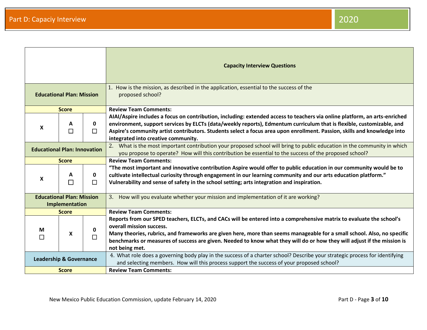Part D: Capaciy Interview 2020

|                                                    |              |             | <b>Capacity Interview Questions</b>                                                                                                                                                                                                                                                                                                                                                                                      |
|----------------------------------------------------|--------------|-------------|--------------------------------------------------------------------------------------------------------------------------------------------------------------------------------------------------------------------------------------------------------------------------------------------------------------------------------------------------------------------------------------------------------------------------|
| <b>Educational Plan: Mission</b>                   |              |             | 1. How is the mission, as described in the application, essential to the success of the<br>proposed school?                                                                                                                                                                                                                                                                                                              |
|                                                    | <b>Score</b> |             | <b>Review Team Comments:</b>                                                                                                                                                                                                                                                                                                                                                                                             |
| X                                                  | A            | 0<br>П      | AIAI/Aspire includes a focus on contribution, including: extended access to teachers via online platform, an arts-enriched<br>environment, support services by ELCTs (data/weekly reports), Edmentum curriculum that is flexible, customizable, and<br>Aspire's community artist contributors. Students select a focus area upon enrollment. Passion, skills and knowledge into<br>integrated into creative community.   |
| <b>Educational Plan: Innovation</b>                |              |             | 2. What is the most important contribution your proposed school will bring to public education in the community in which<br>you propose to operate? How will this contribution be essential to the success of the proposed school?                                                                                                                                                                                       |
|                                                    | <b>Score</b> |             | <b>Review Team Comments:</b>                                                                                                                                                                                                                                                                                                                                                                                             |
| X                                                  | A            | 0<br>$\Box$ | "The most important and innovative contribution Aspire would offer to public education in our community would be to<br>cultivate intellectual curiosity through engagement in our learning community and our arts education platform."<br>Vulnerability and sense of safety in the school setting; arts integration and inspiration.                                                                                     |
| <b>Educational Plan: Mission</b><br>Implementation |              |             | 3. How will you evaluate whether your mission and implementation of it are working?                                                                                                                                                                                                                                                                                                                                      |
|                                                    | <b>Score</b> |             | <b>Review Team Comments:</b>                                                                                                                                                                                                                                                                                                                                                                                             |
| М<br>П                                             | X            | □           | Reports from our SPED teachers, ELCTs, and CACs will be entered into a comprehensive matrix to evaluate the school's<br>overall mission success.<br>Many theories, rubrics, and frameworks are given here, more than seems manageable for a small school. Also, no specific<br>benchmarks or measures of success are given. Needed to know what they will do or how they will adjust if the mission is<br>not being met. |
| <b>Leadership &amp; Governance</b>                 |              |             | 4. What role does a governing body play in the success of a charter school? Describe your strategic process for identifying<br>and selecting members. How will this process support the success of your proposed school?                                                                                                                                                                                                 |
| <b>Score</b>                                       |              |             | <b>Review Team Comments:</b>                                                                                                                                                                                                                                                                                                                                                                                             |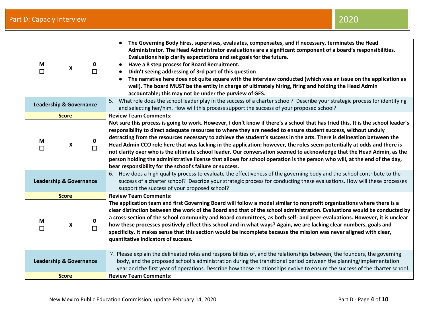| М<br>П                             | $\mathsf{x}$ | 0<br>П      | The Governing Body hires, supervises, evaluates, compensates, and if necessary, terminates the Head<br>Administrator. The Head Administrator evaluations are a significant component of a board's responsibilities.<br>Evaluations help clarify expectations and set goals for the future.<br>Have a 8 step process for Board Recruitment.<br>Didn't seeing addressing of 3rd part of this question<br>The narrative here does not quite square with the interview conducted (which was an issue on the application as<br>well). The board MUST be the entity in charge of ultimately hiring, firing and holding the Head Admin<br>accountable; this may not be under the purview of GES.                                                                                                                                 |
|------------------------------------|--------------|-------------|---------------------------------------------------------------------------------------------------------------------------------------------------------------------------------------------------------------------------------------------------------------------------------------------------------------------------------------------------------------------------------------------------------------------------------------------------------------------------------------------------------------------------------------------------------------------------------------------------------------------------------------------------------------------------------------------------------------------------------------------------------------------------------------------------------------------------|
| <b>Leadership &amp; Governance</b> |              |             | 5. What role does the school leader play in the success of a charter school? Describe your strategic process for identifying<br>and selecting her/him. How will this process support the success of your proposed school?                                                                                                                                                                                                                                                                                                                                                                                                                                                                                                                                                                                                 |
|                                    | <b>Score</b> |             | <b>Review Team Comments:</b>                                                                                                                                                                                                                                                                                                                                                                                                                                                                                                                                                                                                                                                                                                                                                                                              |
| М<br>П                             | X            | 0<br>$\Box$ | Not sure this process is going to work. However, I don't know if there's a school that has tried this. It is the school leader's<br>responsibility to direct adequate resources to where they are needed to ensure student success, without unduly<br>detracting from the resources necessary to achieve the student's success in the arts. There is delineation between the<br>Head Admin CCO role here that was lacking in the application; however, the roles seem potentially at odds and there is<br>not clarity over who is the ultimate school leader. Our conversation seemed to acknowledge that the Head Admin, as the<br>person holding the administrative license that allows for school operation is the person who will, at the end of the day,<br>bear responsibility for the school's failure or success. |
| <b>Leadership &amp; Governance</b> |              |             | 6. How does a high quality process to evaluate the effectiveness of the governing body and the school contribute to the<br>success of a charter school? Describe your strategic process for conducting these evaluations. How will these processes<br>support the success of your proposed school?                                                                                                                                                                                                                                                                                                                                                                                                                                                                                                                        |
|                                    | <b>Score</b> |             | <b>Review Team Comments:</b>                                                                                                                                                                                                                                                                                                                                                                                                                                                                                                                                                                                                                                                                                                                                                                                              |
| M<br>П                             | X            | 0<br>$\Box$ | The application team and first Governing Board will follow a model similar to nonprofit organizations where there is a<br>clear distinction between the work of the Board and that of the school administration. Evaluations would be conducted by<br>a cross-section of the school community and Board committees, as both self- and peer-evaluations. However, it is unclear<br>how these processes positively effect this school and in what ways? Again, we are lacking clear numbers, goals and<br>specificity. It makes sense that this section would be incomplete because the mission was never aligned with clear,<br>quantitative indicators of success.                                                                                                                                                        |
| <b>Leadership &amp; Governance</b> |              |             | 7. Please explain the delineated roles and responsibilities of, and the relationships between, the founders, the governing<br>body, and the proposed school's administration during the transitional period between the planning/implementation<br>year and the first year of operations. Describe how those relationships evolve to ensure the success of the charter school.                                                                                                                                                                                                                                                                                                                                                                                                                                            |
| <b>Score</b>                       |              |             | <b>Review Team Comments:</b>                                                                                                                                                                                                                                                                                                                                                                                                                                                                                                                                                                                                                                                                                                                                                                                              |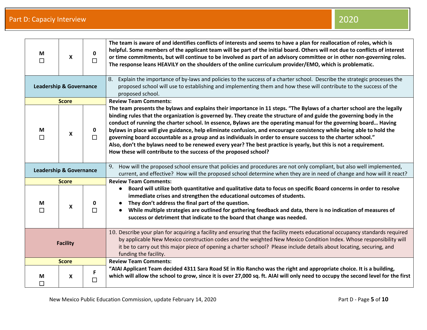| M<br>$\Box$                        | $\boldsymbol{\mathsf{X}}$ | 0<br>П      | The team is aware of and identifies conflicts of interests and seems to have a plan for reallocation of roles, which is<br>helpful. Some members of the applicant team will be part of the initial board. Others will not due to conflicts of interest<br>or time commitments, but will continue to be involved as part of an advisory committee or in other non-governing roles.<br>The response leans HEAVILY on the shoulders of the online curriculum provider/EMO, which is problematic.                                                                                                                                                                                                                                                                                                         |
|------------------------------------|---------------------------|-------------|-------------------------------------------------------------------------------------------------------------------------------------------------------------------------------------------------------------------------------------------------------------------------------------------------------------------------------------------------------------------------------------------------------------------------------------------------------------------------------------------------------------------------------------------------------------------------------------------------------------------------------------------------------------------------------------------------------------------------------------------------------------------------------------------------------|
| <b>Leadership &amp; Governance</b> |                           |             | Explain the importance of by-laws and policies to the success of a charter school. Describe the strategic processes the<br>8.<br>proposed school will use to establishing and implementing them and how these will contribute to the success of the<br>proposed school.                                                                                                                                                                                                                                                                                                                                                                                                                                                                                                                               |
|                                    | <b>Score</b>              |             | <b>Review Team Comments:</b>                                                                                                                                                                                                                                                                                                                                                                                                                                                                                                                                                                                                                                                                                                                                                                          |
| M<br>П                             | X                         | 0<br>$\Box$ | The team presents the bylaws and explains their importance in 11 steps. "The Bylaws of a charter school are the legally<br>binding rules that the organization is governed by. They create the structure of and guide the governing body in the<br>conduct of running the charter school. In essence, Bylaws are the operating manual for the governing board Having<br>bylaws in place will give guidance, help eliminate confusion, and encourage consistency while being able to hold the<br>governing board accountable as a group and as individuals in order to ensure success to the charter school."<br>Also, don't the bylaws need to be renewed every year? The best practice is yearly, but this is not a requirement.<br>How these will contribute to the success of the proposed school? |
| <b>Leadership &amp; Governance</b> |                           |             | 9. How will the proposed school ensure that policies and procedures are not only compliant, but also well implemented,<br>current, and effective? How will the proposed school determine when they are in need of change and how will it react?                                                                                                                                                                                                                                                                                                                                                                                                                                                                                                                                                       |
|                                    | <b>Score</b>              |             | <b>Review Team Comments:</b>                                                                                                                                                                                                                                                                                                                                                                                                                                                                                                                                                                                                                                                                                                                                                                          |
| M<br>П                             | X                         | 0<br>$\Box$ | Board will utilize both quantitative and qualitative data to focus on specific Board concerns in order to resolve<br>$\bullet$<br>immediate crises and strengthen the educational outcomes of students.<br>They don't address the final part of the question.<br>While multiple strategies are outlined for gathering feedback and data, there is no indication of measures of<br>success or detriment that indicate to the board that change was needed.                                                                                                                                                                                                                                                                                                                                             |
| <b>Facility</b>                    |                           |             | 10. Describe your plan for acquiring a facility and ensuring that the facility meets educational occupancy standards required<br>by applicable New Mexico construction codes and the weighted New Mexico Condition Index. Whose responsibility will<br>it be to carry out this major piece of opening a charter school? Please include details about locating, securing, and<br>funding the facility.                                                                                                                                                                                                                                                                                                                                                                                                 |
|                                    | <b>Score</b>              |             | <b>Review Team Comments:</b>                                                                                                                                                                                                                                                                                                                                                                                                                                                                                                                                                                                                                                                                                                                                                                          |
| M<br>П                             | X                         | F<br>П      | "AIAI Applicant Team decided 4311 Sara Road SE in Rio Rancho was the right and appropriate choice. It is a building,<br>which will allow the school to grow, since it is over 27,000 sq. ft. AIAI will only need to occupy the second level for the first                                                                                                                                                                                                                                                                                                                                                                                                                                                                                                                                             |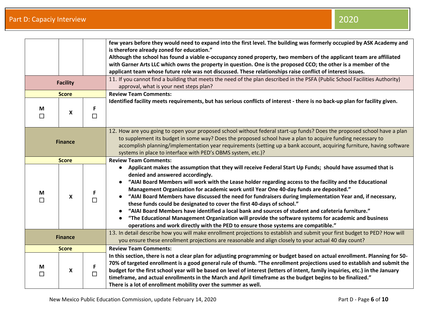|                |                 |             | few years before they would need to expand into the first level. The building was formerly occupied by ASK Academy and<br>is therefore already zoned for education."<br>Although the school has found a viable e-occupancy zoned property, two members of the applicant team are affiliated<br>with Garner Arts LLC which owns the property in question. One is the proposed CCO; the other is a member of the<br>applicant team whose future role was not discussed. These relationships raise conflict of interest issues.<br>11. If you cannot find a building that meets the need of the plan described in the PSFA (Public School Facilities Authority)                                                                                                                                                                                                           |
|----------------|-----------------|-------------|------------------------------------------------------------------------------------------------------------------------------------------------------------------------------------------------------------------------------------------------------------------------------------------------------------------------------------------------------------------------------------------------------------------------------------------------------------------------------------------------------------------------------------------------------------------------------------------------------------------------------------------------------------------------------------------------------------------------------------------------------------------------------------------------------------------------------------------------------------------------|
|                | <b>Facility</b> |             | approval, what is your next steps plan?                                                                                                                                                                                                                                                                                                                                                                                                                                                                                                                                                                                                                                                                                                                                                                                                                                |
|                | <b>Score</b>    |             | <b>Review Team Comments:</b>                                                                                                                                                                                                                                                                                                                                                                                                                                                                                                                                                                                                                                                                                                                                                                                                                                           |
| M<br>П         | X               | F<br>$\Box$ | Identified facility meets requirements, but has serious conflicts of interest - there is no back-up plan for facility given.                                                                                                                                                                                                                                                                                                                                                                                                                                                                                                                                                                                                                                                                                                                                           |
| <b>Finance</b> |                 |             | 12. How are you going to open your proposed school without federal start-up funds? Does the proposed school have a plan<br>to supplement its budget in some way? Does the proposed school have a plan to acquire funding necessary to<br>accomplish planning/implementation year requirements (setting up a bank account, acquiring furniture, having software<br>systems in place to interface with PED's OBMS system, etc.)?                                                                                                                                                                                                                                                                                                                                                                                                                                         |
|                | <b>Score</b>    |             | <b>Review Team Comments:</b>                                                                                                                                                                                                                                                                                                                                                                                                                                                                                                                                                                                                                                                                                                                                                                                                                                           |
| M<br>П         | X               | F<br>$\Box$ | Applicant makes the assumption that they will receive Federal Start Up Funds; should have assumed that is<br>$\bullet$<br>denied and answered accordingly.<br>"AIAI Board Members will work with the Lease holder regarding access to the facility and the Educational<br>Management Organization for academic work until Year One 40-day funds are deposited."<br>"AIAI Board Members have discussed the need for fundraisers during Implementation Year and, if necessary,<br>these funds could be designated to cover the first 40-days of school."<br>"AIAI Board Members have identified a local bank and sources of student and cafeteria furniture."<br>"The Educational Management Organization will provide the software systems for academic and business<br>$\bullet$<br>operations and work directly with the PED to ensure those systems are compatible." |
| <b>Finance</b> |                 |             | 13. In detail describe how you will make enrollment projections to establish and submit your first budget to PED? How will<br>you ensure these enrollment projections are reasonable and align closely to your actual 40 day count?                                                                                                                                                                                                                                                                                                                                                                                                                                                                                                                                                                                                                                    |
| <b>Score</b>   |                 |             | <b>Review Team Comments:</b>                                                                                                                                                                                                                                                                                                                                                                                                                                                                                                                                                                                                                                                                                                                                                                                                                                           |
| М<br>$\Box$    | X               | F<br>$\Box$ | In this section, there is not a clear plan for adjusting programming or budget based on actual enrollment. Planning for 50-<br>70% of targeted enrollment is a good general rule of thumb. "The enrollment projections used to establish and submit the<br>budget for the first school year will be based on level of interest (letters of intent, family inquiries, etc.) in the January<br>timeframe, and actual enrollments in the March and April timeframe as the budget begins to be finalized."<br>There is a lot of enrollment mobility over the summer as well.                                                                                                                                                                                                                                                                                               |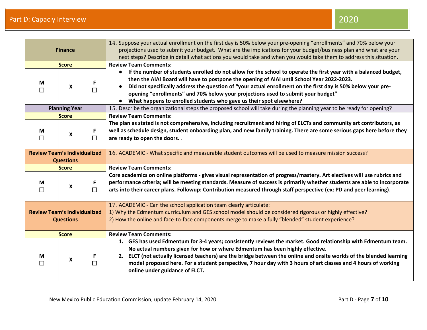|                                     |                      |        | 14. Suppose your actual enrollment on the first day is 50% below your pre-opening "enrollments" and 70% below your            |
|-------------------------------------|----------------------|--------|-------------------------------------------------------------------------------------------------------------------------------|
| <b>Finance</b>                      |                      |        | projections used to submit your budget. What are the implications for your budget/business plan and what are your             |
|                                     |                      |        | next steps? Describe in detail what actions you would take and when you would take them to address this situation.            |
|                                     | <b>Score</b>         |        | <b>Review Team Comments:</b>                                                                                                  |
|                                     |                      |        | If the number of students enrolled do not allow for the school to operate the first year with a balanced budget,<br>$\bullet$ |
| M                                   |                      | F      | then the AIAI Board will have to postpone the opening of AIAI until School Year 2022-2023.                                    |
| П                                   | X                    | $\Box$ | Did not specifically address the question of "your actual enrollment on the first day is 50% below your pre-                  |
|                                     |                      |        | opening "enrollments" and 70% below your projections used to submit your budget"                                              |
|                                     |                      |        | What happens to enrolled students who gave us their spot elsewhere?                                                           |
|                                     | <b>Planning Year</b> |        | 15. Describe the organizational steps the proposed school will take during the planning year to be ready for opening?         |
|                                     | <b>Score</b>         |        | <b>Review Team Comments:</b>                                                                                                  |
|                                     |                      |        | The plan as stated is not comprehensive, including recruitment and hiring of ELCTs and community art contributors, as         |
| M                                   | X                    | F.     | well as schedule design, student onboarding plan, and new family training. There are some serious gaps here before they       |
| П                                   |                      | П      | are ready to open the doors                                                                                                   |
|                                     |                      |        |                                                                                                                               |
| <b>Review Team's Individualized</b> |                      |        | 16. ACADEMIC - What specific and measurable student outcomes will be used to measure mission success?                         |
|                                     | <b>Questions</b>     |        |                                                                                                                               |
|                                     | <b>Score</b>         |        | <b>Review Team Comments:</b>                                                                                                  |
|                                     |                      |        | Core academics on online platforms - gives visual representation of progress/mastery. Art electives will use rubrics and      |
| M                                   | X                    | F.     | performance criteria; will be meeting standards. Measure of success is primarily whether students are able to incorporate     |
|                                     |                      |        |                                                                                                                               |
|                                     |                      | $\Box$ | arts into their career plans. Followup: Contribution measured through staff perspective (ex: PD and peer learning).           |
|                                     |                      |        |                                                                                                                               |
|                                     |                      |        | 17. ACADEMIC - Can the school application team clearly articulate:                                                            |
| <b>Review Team's Individualized</b> |                      |        | 1) Why the Edmentum curriculum and GES school model should be considered rigorous or highly effective?                        |
|                                     | <b>Questions</b>     |        | 2) How the online and face-to-face components merge to make a fully "blended" student experience?                             |
|                                     |                      |        |                                                                                                                               |
|                                     | <b>Score</b>         |        | <b>Review Team Comments:</b>                                                                                                  |
|                                     |                      |        | 1. GES has used Edmentum for 3-4 years; consistently reviews the market. Good relationship with Edmentum team.                |
|                                     |                      |        | No actual numbers given for how or where Edmentum has been highly effective.                                                  |
| M                                   |                      | F.     | 2. ELCT (not actually licensed teachers) are the bridge between the online and onsite worlds of the blended learning          |
| П                                   | X                    | $\Box$ | model proposed here. For a student perspective, 7 hour day with 3 hours of art classes and 4 hours of working                 |
|                                     |                      |        | online under guidance of ELCT.                                                                                                |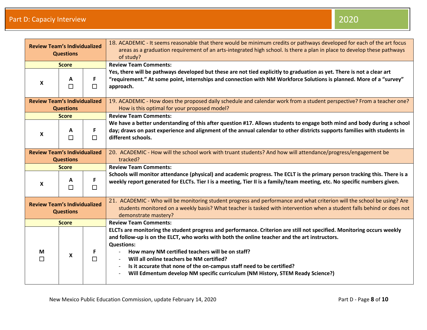| <b>Review Team's Individualized</b><br><b>Questions</b> |                  |              | 18. ACADEMIC - It seems reasonable that there would be minimum credits or pathways developed for each of the art focus<br>areas as a graduation requirement of an arts-integrated high school. Is there a plan in place to develop these pathways<br>of study?                                                                                                                                                                                                                                                                       |
|---------------------------------------------------------|------------------|--------------|--------------------------------------------------------------------------------------------------------------------------------------------------------------------------------------------------------------------------------------------------------------------------------------------------------------------------------------------------------------------------------------------------------------------------------------------------------------------------------------------------------------------------------------|
| <b>Score</b>                                            |                  |              | <b>Review Team Comments:</b>                                                                                                                                                                                                                                                                                                                                                                                                                                                                                                         |
| X                                                       | A<br>П           | F.<br>$\Box$ | Yes, there will be pathways developed but these are not tied explicitly to graduation as yet. There is not a clear art<br>"requirement." At some point, internships and connection with NM Workforce Solutions is planned. More of a "survey"<br>approach.                                                                                                                                                                                                                                                                           |
| <b>Review Team's Individualized</b>                     | <b>Questions</b> |              | 19. ACADEMIC - How does the proposed daily schedule and calendar work from a student perspective? From a teacher one?<br>How is this optimal for your proposed model?                                                                                                                                                                                                                                                                                                                                                                |
|                                                         | <b>Score</b>     |              | <b>Review Team Comments:</b>                                                                                                                                                                                                                                                                                                                                                                                                                                                                                                         |
| $\boldsymbol{\mathsf{x}}$                               | A<br>$\Box$      | F.<br>$\Box$ | We have a better understanding of this after question #17. Allows students to engage both mind and body during a school<br>day; draws on past experience and alignment of the annual calendar to other districts supports families with students in<br>different schools.                                                                                                                                                                                                                                                            |
| <b>Review Team's Individualized</b>                     | <b>Questions</b> |              | 20. ACADEMIC - How will the school work with truant students? And how will attendance/progress/engagement be<br>tracked?                                                                                                                                                                                                                                                                                                                                                                                                             |
|                                                         | <b>Score</b>     |              | <b>Review Team Comments:</b>                                                                                                                                                                                                                                                                                                                                                                                                                                                                                                         |
| X                                                       | A<br>$\Box$      | F<br>$\Box$  | Schools will monitor attendance (physical) and academic progress. The ECLT is the primary person tracking this. There is a<br>weekly report generated for ELCTs. Tier I is a meeting, Tier II is a family/team meeting, etc. No specific numbers given.                                                                                                                                                                                                                                                                              |
| <b>Review Team's Individualized</b><br><b>Questions</b> |                  |              | 21. ACADEMIC - Who will be monitoring student progress and performance and what criterion will the school be using? Are<br>students monitored on a weekly basis? What teacher is tasked with intervention when a student falls behind or does not<br>demonstrate mastery?                                                                                                                                                                                                                                                            |
|                                                         | <b>Score</b>     |              | <b>Review Team Comments:</b>                                                                                                                                                                                                                                                                                                                                                                                                                                                                                                         |
| М<br>П                                                  | X                | F<br>$\Box$  | ELCTs are monitoring the student progress and performance. Criterion are still not specified. Monitoring occurs weekly<br>and follow-up is on the ELCT, who works with both the online teacher and the art instructors.<br><b>Questions:</b><br>How many NM certified teachers will be on staff?<br>Will all online teachers be NM certified?<br>Is it accurate that none of the on-campus staff need to be certified?<br>$\overline{\phantom{a}}$<br>Will Edmentum develop NM specific curriculum (NM History, STEM Ready Science?) |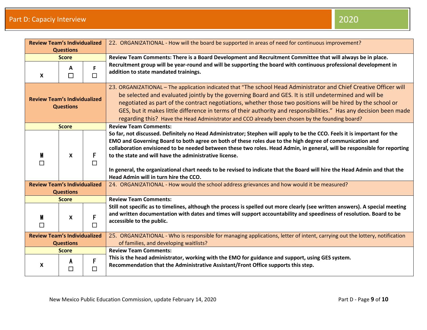| <b>Review Team's Individualized</b><br><b>Questions</b> |                  |             | 22. ORGANIZATIONAL - How will the board be supported in areas of need for continuous improvement?                                                                                                                                                                                                                                                                                                                                                                                                                                                                                                |
|---------------------------------------------------------|------------------|-------------|--------------------------------------------------------------------------------------------------------------------------------------------------------------------------------------------------------------------------------------------------------------------------------------------------------------------------------------------------------------------------------------------------------------------------------------------------------------------------------------------------------------------------------------------------------------------------------------------------|
| <b>Score</b>                                            |                  |             | Review Team Comments: There is a Board Development and Recruitment Committee that will always be in place.                                                                                                                                                                                                                                                                                                                                                                                                                                                                                       |
| X                                                       | A<br>$\Box$      | F<br>□      | Recruitment group will be year-round and will be supporting the board with continuous professional development in<br>addition to state mandated trainings.                                                                                                                                                                                                                                                                                                                                                                                                                                       |
| <b>Review Team's Individualized</b><br><b>Questions</b> |                  |             | 23. ORGANIZATIONAL – The application indicated that "The school Head Administrator and Chief Creative Officer will<br>be selected and evaluated jointly by the governing Board and GES. It is still undetermined and will be<br>negotiated as part of the contract negotiations, whether those two positions will be hired by the school or<br>GES, but it makes little difference in terms of their authority and responsibilities." Has any decision been made<br>regarding this? Have the Head Administrator and CCO already been chosen by the founding board?                               |
|                                                         | <b>Score</b>     |             | <b>Review Team Comments:</b>                                                                                                                                                                                                                                                                                                                                                                                                                                                                                                                                                                     |
| M<br>$\Box$                                             | X                | F<br>$\Box$ | So far, not discussed. Definitely no Head Administrator; Stephen will apply to be the CCO. Feels it is important for the<br>EMO and Governing Board to both agree on both of these roles due to the high degree of communication and<br>collaboration envisioned to be needed between these two roles. Head Admin, in general, will be responsible for reporting<br>to the state and will have the administrative license.<br>In general, the organizational chart needs to be revised to indicate that the Board will hire the Head Admin and that the<br>Head Admin will in turn hire the CCO. |
| <b>Review Team's Individualized</b>                     |                  |             | 24. ORGANIZATIONAL - How would the school address grievances and how would it be measured?                                                                                                                                                                                                                                                                                                                                                                                                                                                                                                       |
|                                                         | <b>Questions</b> |             |                                                                                                                                                                                                                                                                                                                                                                                                                                                                                                                                                                                                  |
|                                                         | <b>Score</b>     |             | <b>Review Team Comments:</b>                                                                                                                                                                                                                                                                                                                                                                                                                                                                                                                                                                     |
| M<br>П                                                  | X                | F<br>П      | Still not specific as to timelines, although the process is spelled out more clearly (see written answers). A special meeting<br>and written documentation with dates and times will support accountability and speediness of resolution. Board to be<br>accessible to the public.                                                                                                                                                                                                                                                                                                               |
| <b>Review Team's Individualized</b><br><b>Questions</b> |                  |             | 25. ORGANIZATIONAL - Who is responsible for managing applications, letter of intent, carrying out the lottery, notification<br>of families, and developing waitlists?                                                                                                                                                                                                                                                                                                                                                                                                                            |
| <b>Score</b>                                            |                  |             | <b>Review Team Comments:</b>                                                                                                                                                                                                                                                                                                                                                                                                                                                                                                                                                                     |
| X                                                       | A<br>$\Box$      | F<br>П      | This is the head administrator, working with the EMO for guidance and support, using GES system.<br>Recommendation that the Administrative Assistant/Front Office supports this step.                                                                                                                                                                                                                                                                                                                                                                                                            |